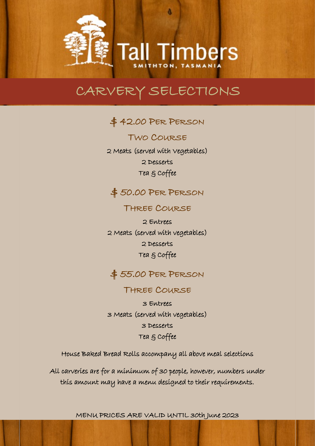d

**Tall Timbers** 

\$ 42.00 PER PERSON

TWO COURSE 2 Meats (served with Vegetables) 2 Desserts Tea & Coffee

## $$50.00$  PER PERSON

### THREE COURSE

2 Entrees 2 Meats (served with vegetables) 2 Desserts Tea & Coffee

## \$ 55.00 PER PERSON

### THREE COURSE

3 Entrees 3 Meats (served with vegetables) 3 Desserts Tea & Coffee

House Baked Bread Rolls accompany all above meal selections

All carveries are for a minimum of 30 people, however, numbers under this amount may have a menu designed to their requirements.

MENU PRICES ARE VALID UNTIL 30th June 2023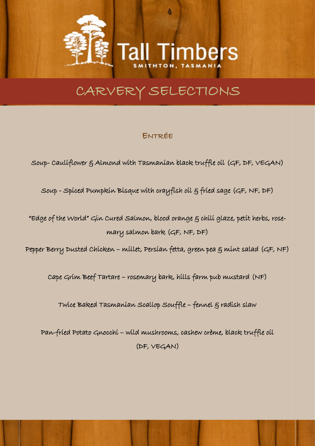d

**Timbers** 

## ENTRÉE

Soup- Cauliflower & Almond with Tasmanian black truffle oil (GF, DF, VEGAN)

Soup - Spiced Pumpkin Bisque with crayfish oil & fried sage (GF, NF, DF)

"Edge of the World" Gin Cured Salmon, blood orange g chili glaze, petit herbs, rosemary salmon bark (GF, NF, DF)

Pepper Berry Dusted Chicken – millet, Persian fetta, green pea & mint salad (GF, NF)

Cape Grim Beef Tartare – rosemary bark, hills farm pub mustard (NF)

Twice Baked Tasmanian Scallop Souffle – fennel & radish slaw

Pan-fried Potato Gnocchi – wild mushrooms, cashew crème, black truffle oil (DF, VEGAN)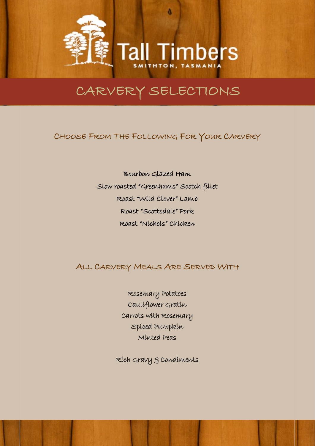d

**Tall Timbers** 

## CHOOSE FROM THE FOLLOWING FOR YOUR CARVERY

Bourbon Glazed Ham Slow roasted "Greenhams" Scotch fillet Roast "Wild Clover" Lamb Roast "Scottsdale" Pork Roast "Nichols" Chicken

## ALL CARVERY MEALS ARE SERVED WITH

Rosemary Potatoes Cauliflower Gratin Carrots with Rosemary Spiced Pumpkin Minted Peas

Rich Gravy & Condiments